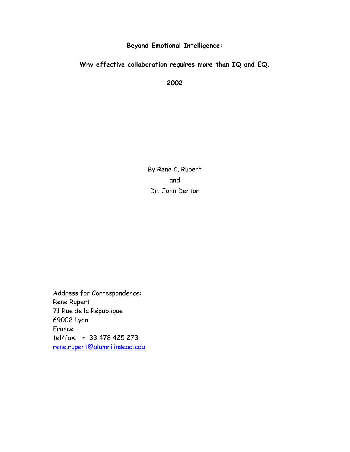Beyond Emotional Intelligence:

Why effective collaboration requires more than IQ and EQ.

2002

By Rene C. Rupert and Dr. John Denton

Address for Correspondence: Rene Rupert 71 Rue de la République 69002 Lyon France tel/fax. + 33 478 425 273 rene.rupert@alumni.insead.edu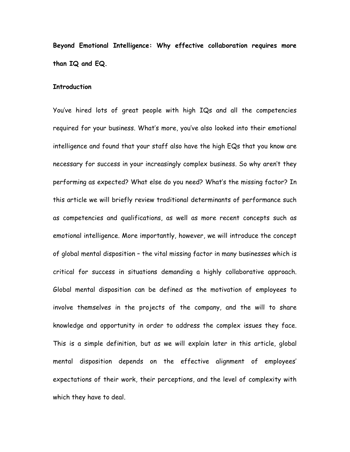Beyond Emotional Intelligence: Why effective collaboration requires more than IQ and EQ.

## **Introduction**

You've hired lots of great people with high IQs and all the competencies required for your business. What's more, you've also looked into their emotional intelligence and found that your staff also have the high EQs that you know are necessary for success in your increasingly complex business. So why aren't they performing as expected? What else do you need? What's the missing factor? In this article we will briefly review traditional determinants of performance such as competencies and qualifications, as well as more recent concepts such as emotional intelligence. More importantly, however, we will introduce the concept of global mental disposition – the vital missing factor in many businesses which is critical for success in situations demanding a highly collaborative approach. Global mental disposition can be defined as the motivation of employees to involve themselves in the projects of the company, and the will to share knowledge and opportunity in order to address the complex issues they face. This is a simple definition, but as we will explain later in this article, global mental disposition depends on the effective alignment of employees' expectations of their work, their perceptions, and the level of complexity with which they have to deal.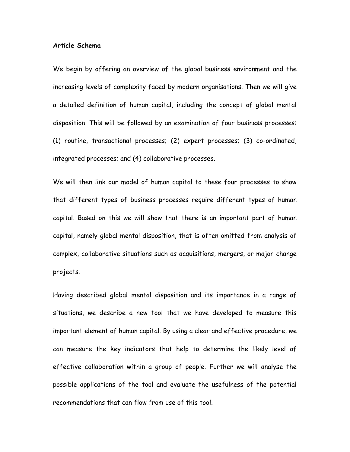#### Article Schema

We begin by offering an overview of the global business environment and the increasing levels of complexity faced by modern organisations. Then we will give a detailed definition of human capital, including the concept of global mental disposition. This will be followed by an examination of four business processes: (1) routine, transactional processes; (2) expert processes; (3) co-ordinated, integrated processes; and (4) collaborative processes.

We will then link our model of human capital to these four processes to show that different types of business processes require different types of human capital. Based on this we will show that there is an important part of human capital, namely global mental disposition, that is often omitted from analysis of complex, collaborative situations such as acquisitions, mergers, or major change projects.

Having described global mental disposition and its importance in a range of situations, we describe a new tool that we have developed to measure this important element of human capital. By using a clear and effective procedure, we can measure the key indicators that help to determine the likely level of effective collaboration within a group of people. Further we will analyse the possible applications of the tool and evaluate the usefulness of the potential recommendations that can flow from use of this tool.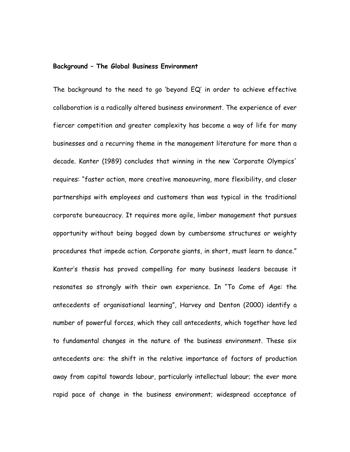## Background – The Global Business Environment

The background to the need to go 'beyond EQ' in order to achieve effective collaboration is a radically altered business environment. The experience of ever fiercer competition and greater complexity has become a way of life for many businesses and a recurring theme in the management literature for more than a decade. Kanter (1989) concludes that winning in the new 'Corporate Olympics' requires: "faster action, more creative manoeuvring, more flexibility, and closer partnerships with employees and customers than was typical in the traditional corporate bureaucracy. It requires more agile, limber management that pursues opportunity without being bogged down by cumbersome structures or weighty procedures that impede action. Corporate giants, in short, must learn to dance." Kanter's thesis has proved compelling for many business leaders because it resonates so strongly with their own experience. In "To Come of Age: the antecedents of organisational learning", Harvey and Denton (2000) identify a number of powerful forces, which they call antecedents, which together have led to fundamental changes in the nature of the business environment. These six antecedents are: the shift in the relative importance of factors of production away from capital towards labour, particularly intellectual labour; the ever more rapid pace of change in the business environment; widespread acceptance of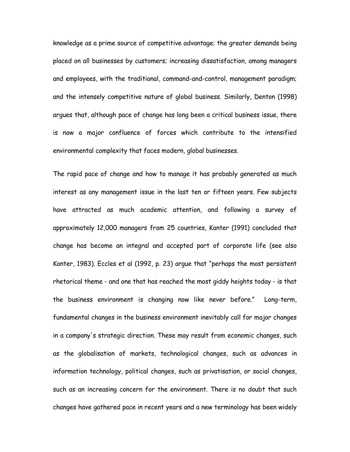knowledge as a prime source of competitive advantage; the greater demands being placed on all businesses by customers; increasing dissatisfaction, among managers and employees, with the traditional, command-and-control, management paradigm; and the intensely competitive nature of global business. Similarly, Denton (1998) argues that, although pace of change has long been a critical business issue, there is now a major confluence of forces which contribute to the intensified environmental complexity that faces modern, global businesses.

The rapid pace of change and how to manage it has probably generated as much interest as any management issue in the last ten or fifteen years. Few subjects have attracted as much academic attention, and following a survey of approximately 12,000 managers from 25 countries, Kanter (1991) concluded that change has become an integral and accepted part of corporate life (see also Kanter, 1983). Eccles et al (1992, p. 23) argue that "perhaps the most persistent rhetorical theme - and one that has reached the most giddy heights today - is that the business environment is changing now like never before." Long-term, fundamental changes in the business environment inevitably call for major changes in a company's strategic direction. These may result from economic changes, such as the globalisation of markets, technological changes, such as advances in information technology, political changes, such as privatisation, or social changes, such as an increasing concern for the environment. There is no doubt that such changes have gathered pace in recent years and a new terminology has been widely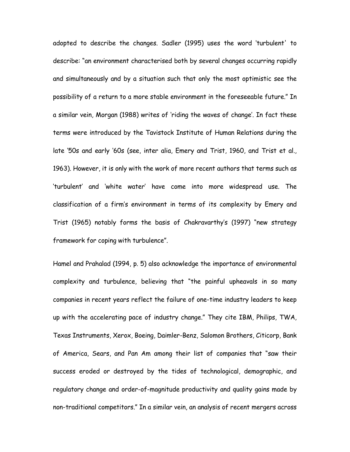adopted to describe the changes. Sadler (1995) uses the word 'turbulent' to describe: "an environment characterised both by several changes occurring rapidly and simultaneously and by a situation such that only the most optimistic see the possibility of a return to a more stable environment in the foreseeable future." In a similar vein, Morgan (1988) writes of 'riding the waves of change'. In fact these terms were introduced by the Tavistock Institute of Human Relations during the late '50s and early '60s (see, inter alia, Emery and Trist, 1960, and Trist et al., 1963). However, it is only with the work of more recent authors that terms such as 'turbulent' and 'white water' have come into more widespread use. The classification of a firm's environment in terms of its complexity by Emery and Trist (1965) notably forms the basis of Chakravarthy's (1997) "new strategy framework for coping with turbulence".

Hamel and Prahalad (1994, p. 5) also acknowledge the importance of environmental complexity and turbulence, believing that "the painful upheavals in so many companies in recent years reflect the failure of one-time industry leaders to keep up with the accelerating pace of industry change." They cite IBM, Philips, TWA, Texas Instruments, Xerox, Boeing, Daimler-Benz, Salomon Brothers, Citicorp, Bank of America, Sears, and Pan Am among their list of companies that "saw their success eroded or destroyed by the tides of technological, demographic, and regulatory change and order-of-magnitude productivity and quality gains made by non-traditional competitors." In a similar vein, an analysis of recent mergers across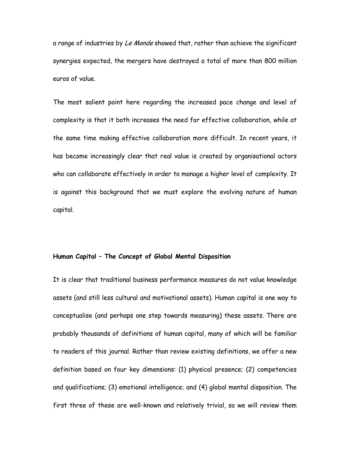a range of industries by Le Monde showed that, rather than achieve the significant synergies expected, the mergers have destroyed a total of more than 800 million euros of value.

The most salient point here regarding the increased pace change and level of complexity is that it both increases the need for effective collaboration, while at the same time making effective collaboration more difficult. In recent years, it has become increasingly clear that real value is created by organisational actors who can collaborate effectively in order to manage a higher level of complexity. It is against this background that we must explore the evolving nature of human capital.

## Human Capital – The Concept of Global Mental Disposition

It is clear that traditional business performance measures do not value knowledge assets (and still less cultural and motivational assets). Human capital is one way to conceptualise (and perhaps one step towards measuring) these assets. There are probably thousands of definitions of human capital, many of which will be familiar to readers of this journal. Rather than review existing definitions, we offer a new definition based on four key dimensions: (1) physical presence; (2) competencies and qualifications; (3) emotional intelligence; and (4) global mental disposition. The first three of these are well-known and relatively trivial, so we will review them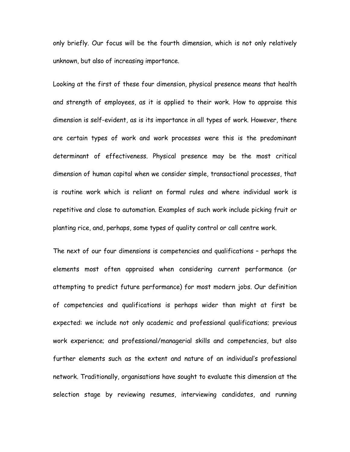only briefly. Our focus will be the fourth dimension, which is not only relatively unknown, but also of increasing importance.

Looking at the first of these four dimension, physical presence means that health and strength of employees, as it is applied to their work. How to appraise this dimension is self-evident, as is its importance in all types of work. However, there are certain types of work and work processes were this is the predominant determinant of effectiveness. Physical presence may be the most critical dimension of human capital when we consider simple, transactional processes, that is routine work which is reliant on formal rules and where individual work is repetitive and close to automation. Examples of such work include picking fruit or planting rice, and, perhaps, some types of quality control or call centre work.

The next of our four dimensions is competencies and qualifications – perhaps the elements most often appraised when considering current performance (or attempting to predict future performance) for most modern jobs. Our definition of competencies and qualifications is perhaps wider than might at first be expected: we include not only academic and professional qualifications; previous work experience; and professional/managerial skills and competencies, but also further elements such as the extent and nature of an individual's professional network. Traditionally, organisations have sought to evaluate this dimension at the selection stage by reviewing resumes, interviewing candidates, and running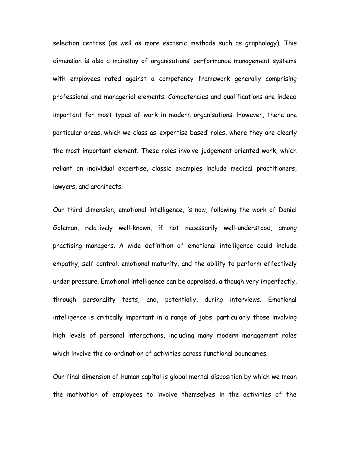selection centres (as well as more esoteric methods such as graphology). This dimension is also a mainstay of organisations' performance management systems with employees rated against a competency framework generally comprising professional and managerial elements. Competencies and qualifications are indeed important for most types of work in modern organisations. However, there are particular areas, which we class as 'expertise based' roles, where they are clearly the most important element. These roles involve judgement oriented work, which reliant on individual expertise, classic examples include medical practitioners, lawyers, and architects.

Our third dimension, emotional intelligence, is now, following the work of Daniel Goleman, relatively well-known, if not necessarily well-understood, among practising managers. A wide definition of emotional intelligence could include empathy, self-control, emotional maturity, and the ability to perform effectively under pressure. Emotional intelligence can be appraised, although very imperfectly, through personality tests, and, potentially, during interviews. Emotional intelligence is critically important in a range of jobs, particularly those involving high levels of personal interactions, including many modern management roles which involve the co-ordination of activities across functional boundaries.

Our final dimension of human capital is global mental disposition by which we mean the motivation of employees to involve themselves in the activities of the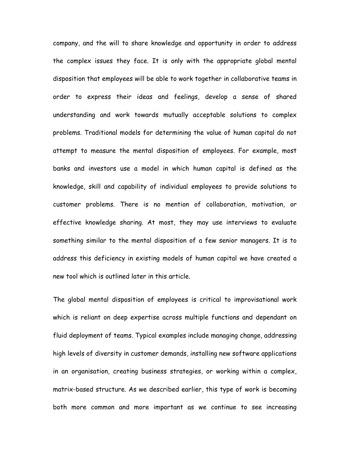company, and the will to share knowledge and opportunity in order to address the complex issues they face. It is only with the appropriate global mental disposition that employees will be able to work together in collaborative teams in order to express their ideas and feelings, develop a sense of shared understanding and work towards mutually acceptable solutions to complex problems. Traditional models for determining the value of human capital do not attempt to measure the mental disposition of employees. For example, most banks and investors use a model in which human capital is defined as the knowledge, skill and capability of individual employees to provide solutions to customer problems. There is no mention of collaboration, motivation, or effective knowledge sharing. At most, they may use interviews to evaluate something similar to the mental disposition of a few senior managers. It is to address this deficiency in existing models of human capital we have created a new tool which is outlined later in this article.

The global mental disposition of employees is critical to improvisational work which is reliant on deep expertise across multiple functions and dependant on fluid deployment of teams. Typical examples include managing change, addressing high levels of diversity in customer demands, installing new software applications in an organisation, creating business strategies, or working within a complex, matrix-based structure. As we described earlier, this type of work is becoming both more common and more important as we continue to see increasing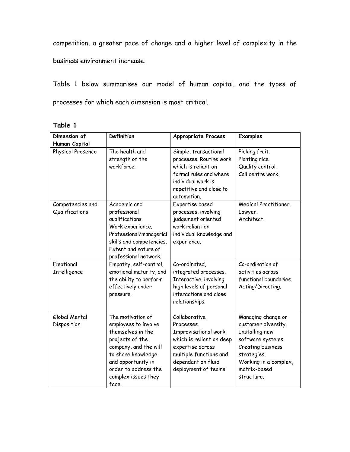competition, a greater pace of change and a higher level of complexity in the business environment increase.

Table 1 below summarises our model of human capital, and the types of processes for which each dimension is most critical.

| abie |  |
|------|--|
|------|--|

| Dimension of                       | Definition                                                                                                                                                                                                     | <b>Appropriate Process</b>                                                                                                                                                  | <b>Examples</b>                                                                                                                                                            |
|------------------------------------|----------------------------------------------------------------------------------------------------------------------------------------------------------------------------------------------------------------|-----------------------------------------------------------------------------------------------------------------------------------------------------------------------------|----------------------------------------------------------------------------------------------------------------------------------------------------------------------------|
| Human Capital<br>Physical Presence | The health and<br>strength of the<br>workforce.                                                                                                                                                                | Simple, transactional<br>processes. Routine work<br>which is reliant on<br>formal rules and where<br>individual work is<br>repetitive and close to<br>automation.           | Picking fruit.<br>Planting rice.<br>Quality control.<br>Call centre work.                                                                                                  |
| Competencies and<br>Qualifications | Academic and<br>professional<br>qualifications.<br>Work experience.<br>Professional/managerial<br>skills and competencies.<br>Extent and nature of<br>professional network.                                    | Expertise based<br>processes, involving<br>judgement oriented<br>work reliant on<br>individual knowledge and<br>experience.                                                 | Medical Practitioner.<br>Lawyer.<br>Architect.                                                                                                                             |
| Emotional<br>Intelligence          | Empathy, self-control,<br>emotional maturity, and<br>the ability to perform<br>effectively under<br>pressure.                                                                                                  | Co-ordinated,<br>integrated processes.<br>Interactive, involving<br>high levels of personal<br>interactions and close<br>relationships.                                     | Co-ordination of<br>activities across<br>functional boundaries.<br>Acting/Directing.                                                                                       |
| Global Mental<br>Disposition       | The motivation of<br>employees to involve<br>themselves in the<br>projects of the<br>company, and the will<br>to share knowledge<br>and opportunity in<br>order to address the<br>complex issues they<br>face. | Collaborative<br>Processes.<br>Improvisational work<br>which is reliant on deep<br>expertise across<br>multiple functions and<br>dependant on fluid<br>deployment of teams. | Managing change or<br>customer diversity.<br>Installing new<br>software systems<br>Creating business<br>strategies.<br>Working in a complex,<br>matrix-based<br>structure. |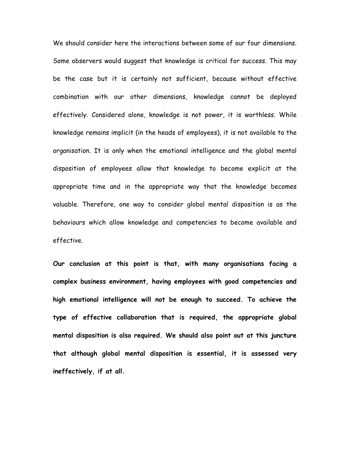We should consider here the interactions between some of our four dimensions. Some observers would suggest that knowledge is critical for success. This may be the case but it is certainly not sufficient, because without effective combination with our other dimensions, knowledge cannot be deployed effectively. Considered alone, knowledge is not power, it is worthless. While knowledge remains implicit (in the heads of employees), it is not available to the organisation. It is only when the emotional intelligence and the global mental disposition of employees allow that knowledge to become explicit at the appropriate time and in the appropriate way that the knowledge becomes valuable. Therefore, one way to consider global mental disposition is as the behaviours which allow knowledge and competencies to become available and effective.

Our conclusion at this point is that, with many organisations facing a complex business environment, having employees with good competencies and high emotional intelligence will not be enough to succeed. To achieve the type of effective collaboration that is required, the appropriate global mental disposition is also required. We should also point out at this juncture that although global mental disposition is essential, it is assessed very ineffectively, if at all.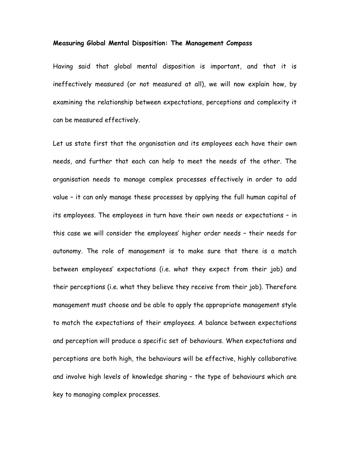#### Measuring Global Mental Disposition: The Management Compass

Having said that global mental disposition is important, and that it is ineffectively measured (or not measured at all), we will now explain how, by examining the relationship between expectations, perceptions and complexity it can be measured effectively.

Let us state first that the organisation and its employees each have their own needs, and further that each can help to meet the needs of the other. The organisation needs to manage complex processes effectively in order to add value – it can only manage these processes by applying the full human capital of its employees. The employees in turn have their own needs or expectations – in this case we will consider the employees' higher order needs – their needs for autonomy. The role of management is to make sure that there is a match between employees' expectations (i.e. what they expect from their job) and their perceptions (i.e. what they believe they receive from their job). Therefore management must choose and be able to apply the appropriate management style to match the expectations of their employees. A balance between expectations and perception will produce a specific set of behaviours. When expectations and perceptions are both high, the behaviours will be effective, highly collaborative and involve high levels of knowledge sharing – the type of behaviours which are key to managing complex processes.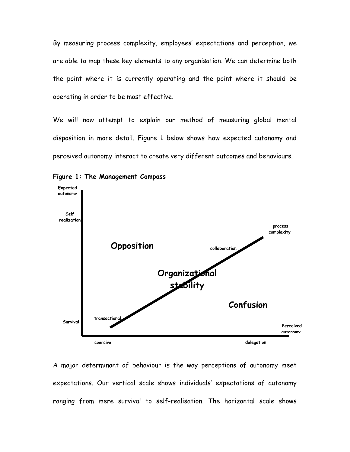By measuring process complexity, employees' expectations and perception, we are able to map these key elements to any organisation. We can determine both the point where it is currently operating and the point where it should be operating in order to be most effective.

We will now attempt to explain our method of measuring global mental disposition in more detail. Figure 1 below shows how expected autonomy and perceived autonomy interact to create very different outcomes and behaviours.



Figure 1: The Management Compass

A major determinant of behaviour is the way perceptions of autonomy meet expectations. Our vertical scale shows individuals' expectations of autonomy ranging from mere survival to self-realisation. The horizontal scale shows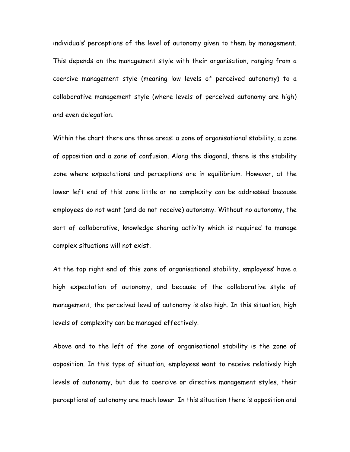individuals' perceptions of the level of autonomy given to them by management. This depends on the management style with their organisation, ranging from a coercive management style (meaning low levels of perceived autonomy) to a collaborative management style (where levels of perceived autonomy are high) and even delegation.

Within the chart there are three areas: a zone of organisational stability, a zone of opposition and a zone of confusion. Along the diagonal, there is the stability zone where expectations and perceptions are in equilibrium. However, at the lower left end of this zone little or no complexity can be addressed because employees do not want (and do not receive) autonomy. Without no autonomy, the sort of collaborative, knowledge sharing activity which is required to manage complex situations will not exist.

At the top right end of this zone of organisational stability, employees' have a high expectation of autonomy, and because of the collaborative style of management, the perceived level of autonomy is also high. In this situation, high levels of complexity can be managed effectively.

Above and to the left of the zone of organisational stability is the zone of opposition. In this type of situation, employees want to receive relatively high levels of autonomy, but due to coercive or directive management styles, their perceptions of autonomy are much lower. In this situation there is opposition and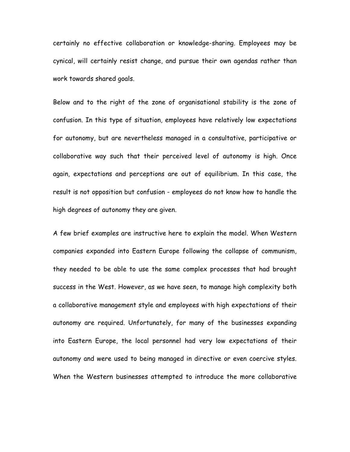certainly no effective collaboration or knowledge-sharing. Employees may be cynical, will certainly resist change, and pursue their own agendas rather than work towards shared goals.

Below and to the right of the zone of organisational stability is the zone of confusion. In this type of situation, employees have relatively low expectations for autonomy, but are nevertheless managed in a consultative, participative or collaborative way such that their perceived level of autonomy is high. Once again, expectations and perceptions are out of equilibrium. In this case, the result is not opposition but confusion - employees do not know how to handle the high degrees of autonomy they are given.

A few brief examples are instructive here to explain the model. When Western companies expanded into Eastern Europe following the collapse of communism, they needed to be able to use the same complex processes that had brought success in the West. However, as we have seen, to manage high complexity both a collaborative management style and employees with high expectations of their autonomy are required. Unfortunately, for many of the businesses expanding into Eastern Europe, the local personnel had very low expectations of their autonomy and were used to being managed in directive or even coercive styles. When the Western businesses attempted to introduce the more collaborative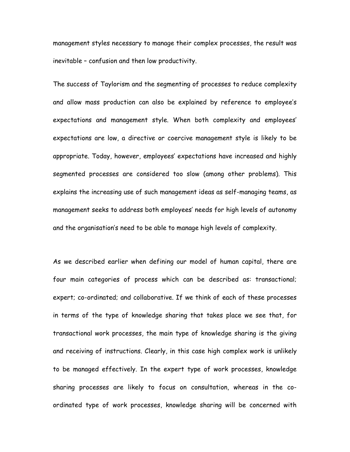management styles necessary to manage their complex processes, the result was inevitable – confusion and then low productivity.

The success of Taylorism and the segmenting of processes to reduce complexity and allow mass production can also be explained by reference to employee's expectations and management style. When both complexity and employees' expectations are low, a directive or coercive management style is likely to be appropriate. Today, however, employees' expectations have increased and highly segmented processes are considered too slow (among other problems). This explains the increasing use of such management ideas as self-managing teams, as management seeks to address both employees' needs for high levels of autonomy and the organisation's need to be able to manage high levels of complexity.

As we described earlier when defining our model of human capital, there are four main categories of process which can be described as: transactional; expert; co-ordinated; and collaborative. If we think of each of these processes in terms of the type of knowledge sharing that takes place we see that, for transactional work processes, the main type of knowledge sharing is the giving and receiving of instructions. Clearly, in this case high complex work is unlikely to be managed effectively. In the expert type of work processes, knowledge sharing processes are likely to focus on consultation, whereas in the coordinated type of work processes, knowledge sharing will be concerned with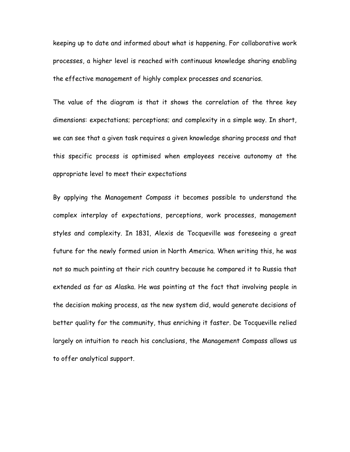keeping up to date and informed about what is happening. For collaborative work processes, a higher level is reached with continuous knowledge sharing enabling the effective management of highly complex processes and scenarios.

The value of the diagram is that it shows the correlation of the three key dimensions: expectations; perceptions; and complexity in a simple way. In short, we can see that a given task requires a given knowledge sharing process and that this specific process is optimised when employees receive autonomy at the appropriate level to meet their expectations

By applying the Management Compass it becomes possible to understand the complex interplay of expectations, perceptions, work processes, management styles and complexity. In 1831, Alexis de Tocqueville was foreseeing a great future for the newly formed union in North America. When writing this, he was not so much pointing at their rich country because he compared it to Russia that extended as far as Alaska. He was pointing at the fact that involving people in the decision making process, as the new system did, would generate decisions of better quality for the community, thus enriching it faster. De Tocqueville relied largely on intuition to reach his conclusions, the Management Compass allows us to offer analytical support.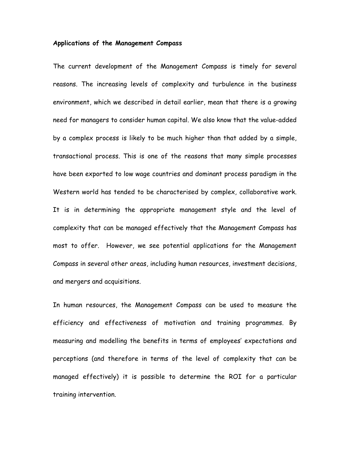#### Applications of the Management Compass

The current development of the Management Compass is timely for several reasons. The increasing levels of complexity and turbulence in the business environment, which we described in detail earlier, mean that there is a growing need for managers to consider human capital. We also know that the value-added by a complex process is likely to be much higher than that added by a simple, transactional process. This is one of the reasons that many simple processes have been exported to low wage countries and dominant process paradigm in the Western world has tended to be characterised by complex, collaborative work. It is in determining the appropriate management style and the level of complexity that can be managed effectively that the Management Compass has most to offer. However, we see potential applications for the Management Compass in several other areas, including human resources, investment decisions, and mergers and acquisitions.

In human resources, the Management Compass can be used to measure the efficiency and effectiveness of motivation and training programmes. By measuring and modelling the benefits in terms of employees' expectations and perceptions (and therefore in terms of the level of complexity that can be managed effectively) it is possible to determine the ROI for a particular training intervention.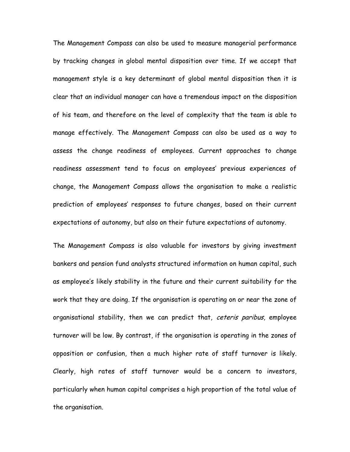The Management Compass can also be used to measure managerial performance by tracking changes in global mental disposition over time. If we accept that management style is a key determinant of global mental disposition then it is clear that an individual manager can have a tremendous impact on the disposition of his team, and therefore on the level of complexity that the team is able to manage effectively. The Management Compass can also be used as a way to assess the change readiness of employees. Current approaches to change readiness assessment tend to focus on employees' previous experiences of change, the Management Compass allows the organisation to make a realistic prediction of employees' responses to future changes, based on their current expectations of autonomy, but also on their future expectations of autonomy.

The Management Compass is also valuable for investors by giving investment bankers and pension fund analysts structured information on human capital, such as employee's likely stability in the future and their current suitability for the work that they are doing. If the organisation is operating on or near the zone of organisational stability, then we can predict that, ceteris paribus, employee turnover will be low. By contrast, if the organisation is operating in the zones of opposition or confusion, then a much higher rate of staff turnover is likely. Clearly, high rates of staff turnover would be a concern to investors, particularly when human capital comprises a high proportion of the total value of the organisation.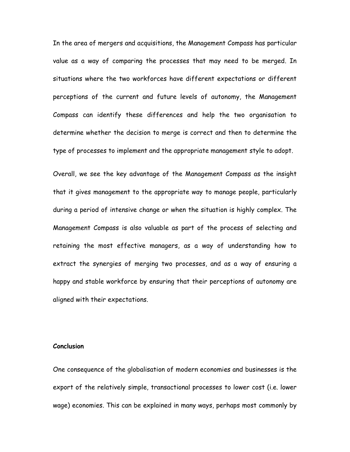In the area of mergers and acquisitions, the Management Compass has particular value as a way of comparing the processes that may need to be merged. In situations where the two workforces have different expectations or different perceptions of the current and future levels of autonomy, the Management Compass can identify these differences and help the two organisation to determine whether the decision to merge is correct and then to determine the type of processes to implement and the appropriate management style to adopt.

Overall, we see the key advantage of the Management Compass as the insight that it gives management to the appropriate way to manage people, particularly during a period of intensive change or when the situation is highly complex. The Management Compass is also valuable as part of the process of selecting and retaining the most effective managers, as a way of understanding how to extract the synergies of merging two processes, and as a way of ensuring a happy and stable workforce by ensuring that their perceptions of autonomy are aligned with their expectations.

# **Conclusion**

One consequence of the globalisation of modern economies and businesses is the export of the relatively simple, transactional processes to lower cost (i.e. lower wage) economies. This can be explained in many ways, perhaps most commonly by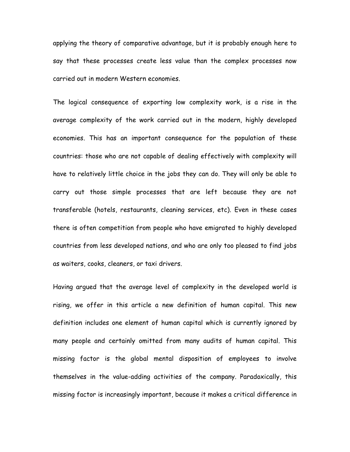applying the theory of comparative advantage, but it is probably enough here to say that these processes create less value than the complex processes now carried out in modern Western economies.

The logical consequence of exporting low complexity work, is a rise in the average complexity of the work carried out in the modern, highly developed economies. This has an important consequence for the population of these countries: those who are not capable of dealing effectively with complexity will have to relatively little choice in the jobs they can do. They will only be able to carry out those simple processes that are left because they are not transferable (hotels, restaurants, cleaning services, etc). Even in these cases there is often competition from people who have emigrated to highly developed countries from less developed nations, and who are only too pleased to find jobs as waiters, cooks, cleaners, or taxi drivers.

Having argued that the average level of complexity in the developed world is rising, we offer in this article a new definition of human capital. This new definition includes one element of human capital which is currently ignored by many people and certainly omitted from many audits of human capital. This missing factor is the global mental disposition of employees to involve themselves in the value-adding activities of the company. Paradoxically, this missing factor is increasingly important, because it makes a critical difference in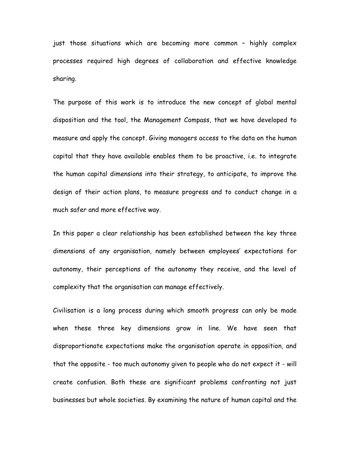just those situations which are becoming more common – highly complex processes required high degrees of collaboration and effective knowledge sharing.

The purpose of this work is to introduce the new concept of global mental disposition and the tool, the Management Compass, that we have developed to measure and apply the concept. Giving managers access to the data on the human capital that they have available enables them to be proactive, i.e. to integrate the human capital dimensions into their strategy, to anticipate, to improve the design of their action plans, to measure progress and to conduct change in a much safer and more effective way.

In this paper a clear relationship has been established between the key three dimensions of any organisation, namely between employees' expectations for autonomy, their perceptions of the autonomy they receive, and the level of complexity that the organisation can manage effectively.

Civilisation is a long process during which smooth progress can only be made when these three key dimensions grow in line. We have seen that disproportionate expectations make the organisation operate in opposition, and that the opposite - too much autonomy given to people who do not expect it - will create confusion. Both these are significant problems confronting not just businesses but whole societies. By examining the nature of human capital and the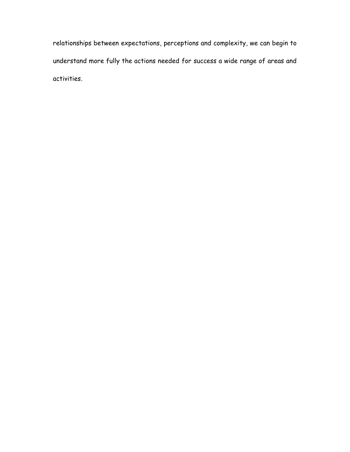relationships between expectations, perceptions and complexity, we can begin to understand more fully the actions needed for success a wide range of areas and activities.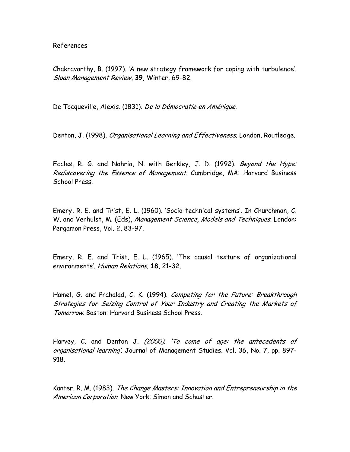References

Chakravarthy, B. (1997). 'A new strategy framework for coping with turbulence'. Sloan Management Review, 39, Winter, 69-82.

De Tocqueville, Alexis. (1831). De la Démocratie en Amérique.

Denton, J. (1998). Organisational Learning and Effectiveness. London, Routledge.

Eccles, R. G. and Nohria, N. with Berkley, J. D. (1992). Beyond the Hype: Rediscovering the Essence of Management. Cambridge, MA: Harvard Business School Press.

Emery, R. E. and Trist, E. L. (1960). 'Socio-technical systems'. In Churchman, C. W. and Verhulst, M. (Eds), Management Science, Models and Techniques. London: Pergamon Press, Vol. 2, 83-97.

Emery, R. E. and Trist, E. L. (1965). 'The causal texture of organizational environments'. Human Relations, 18, 21-32.

Hamel, G. and Prahalad, C. K. (1994). Competing for the Future: Breakthrough Strategies for Seizing Control of Your Industry and Creating the Markets of Tomorrow. Boston: Harvard Business School Press.

Harvey, C. and Denton J. (2000). 'To come of age: the antecedents of organisational learning'. Journal of Management Studies. Vol. 36, No. 7, pp. 897- 918.

Kanter, R. M. (1983). The Change Masters: Innovation and Entrepreneurship in the American Corporation. New York: Simon and Schuster.